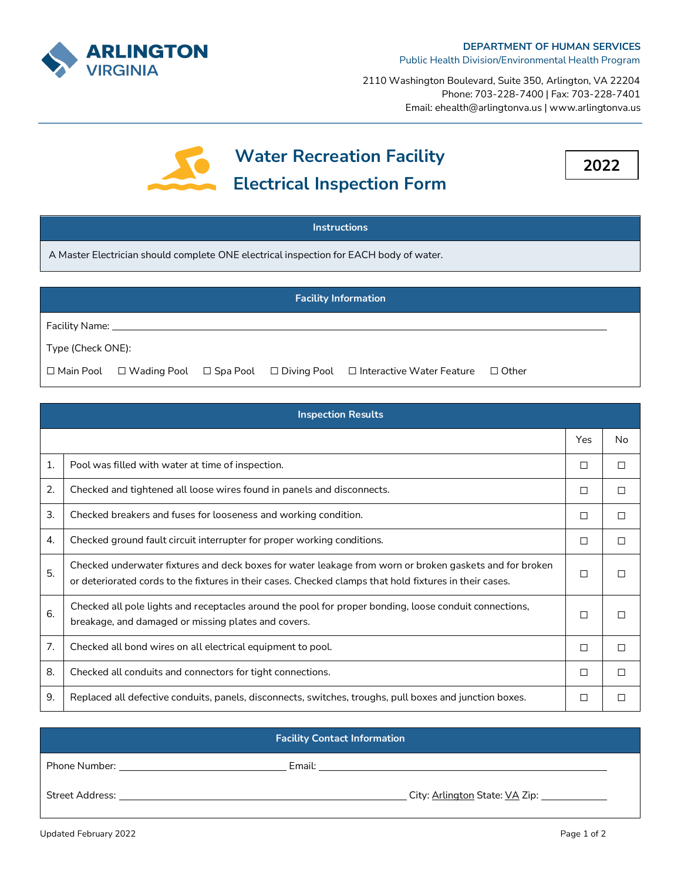

2110 Washington Boulevard, Suite 350, Arlington, VA 22204 Phone: 703-228-7400 | Fax: 703-228-7401 Email: ehealth@arlingtonva.us | www.arlingtonva.us





## **Instructions**

A Master Electrician should complete ONE electrical inspection for EACH body of water.

| <b>Facility Information</b> |                                 |  |  |                                                                                                                      |  |
|-----------------------------|---------------------------------|--|--|----------------------------------------------------------------------------------------------------------------------|--|
|                             | Facility Name: <b>Example 2</b> |  |  |                                                                                                                      |  |
| Type (Check ONE):           |                                 |  |  |                                                                                                                      |  |
|                             |                                 |  |  | $\Box$ Main Pool $\Box$ Wading Pool $\Box$ Spa Pool $\Box$ Diving Pool $\Box$ Interactive Water Feature $\Box$ Other |  |

| <b>Inspection Results</b> |                                                                                                                                                                                                                    |        |              |
|---------------------------|--------------------------------------------------------------------------------------------------------------------------------------------------------------------------------------------------------------------|--------|--------------|
|                           |                                                                                                                                                                                                                    | Yes    | No           |
| 1.                        | Pool was filled with water at time of inspection.                                                                                                                                                                  | □      | $\mathsf{L}$ |
| 2.                        | Checked and tightened all loose wires found in panels and disconnects.                                                                                                                                             | □      | □            |
| 3.                        | Checked breakers and fuses for looseness and working condition.                                                                                                                                                    | □      | □            |
| 4.                        | Checked ground fault circuit interrupter for proper working conditions.                                                                                                                                            | □      | П            |
| 5.                        | Checked underwater fixtures and deck boxes for water leakage from worn or broken gaskets and for broken<br>or deteriorated cords to the fixtures in their cases. Checked clamps that hold fixtures in their cases. | □      |              |
| 6.                        | Checked all pole lights and receptacles around the pool for proper bonding, loose conduit connections,<br>breakage, and damaged or missing plates and covers.                                                      | $\Box$ |              |
| 7.                        | Checked all bond wires on all electrical equipment to pool.                                                                                                                                                        | $\Box$ | П            |
| 8.                        | Checked all conduits and connectors for tight connections.                                                                                                                                                         | □      | П            |
| 9.                        | Replaced all defective conduits, panels, disconnects, switches, troughs, pull boxes and junction boxes.                                                                                                            | □      |              |

| <b>Facility Contact Information</b>                |        |  |  |
|----------------------------------------------------|--------|--|--|
| Phone Number: <u>_____________________________</u> | Email: |  |  |
| Street Address:                                    |        |  |  |